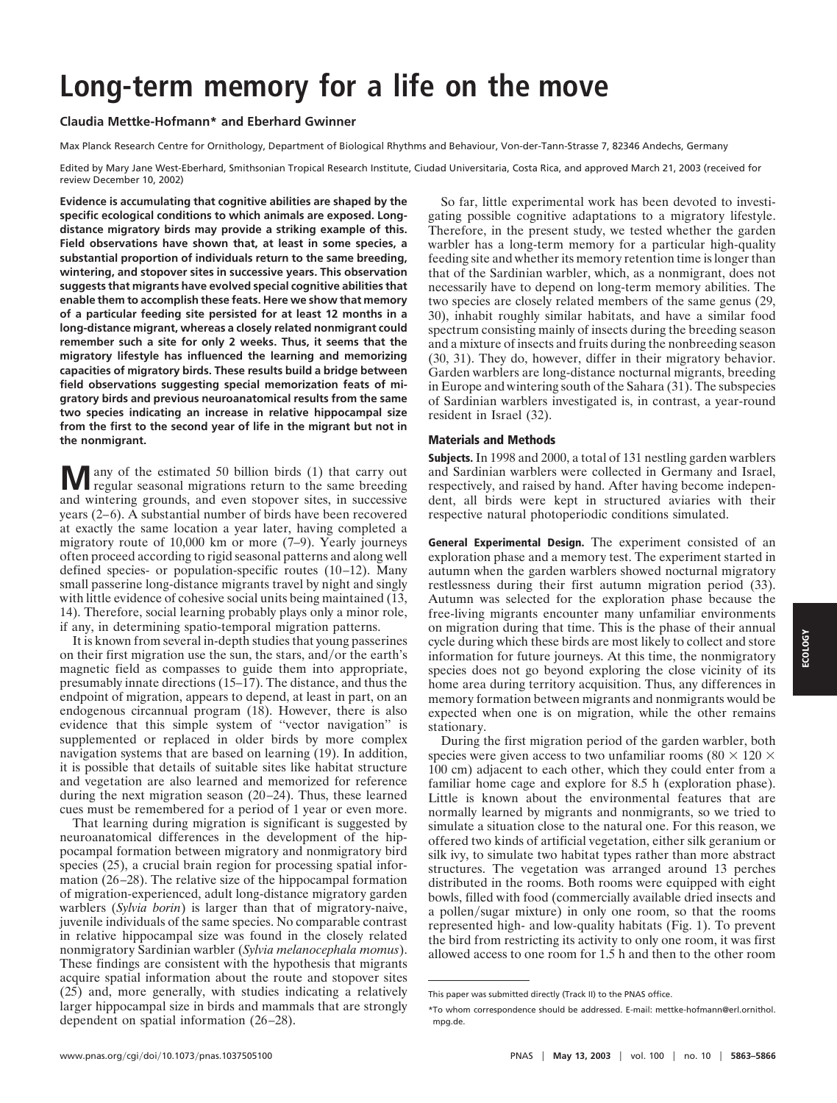# **Long-term memory for a life on the move**

# **Claudia Mettke-Hofmann\* and Eberhard Gwinner**

Max Planck Research Centre for Ornithology, Department of Biological Rhythms and Behaviour, Von-der-Tann-Strasse 7, 82346 Andechs, Germany

Edited by Mary Jane West-Eberhard, Smithsonian Tropical Research Institute, Ciudad Universitaria, Costa Rica, and approved March 21, 2003 (received for review December 10, 2002)

**Evidence is accumulating that cognitive abilities are shaped by the specific ecological conditions to which animals are exposed. Longdistance migratory birds may provide a striking example of this. Field observations have shown that, at least in some species, a substantial proportion of individuals return to the same breeding, wintering, and stopover sites in successive years. This observation suggests that migrants have evolved special cognitive abilities that enable them to accomplish these feats. Here we show that memory of a particular feeding site persisted for at least 12 months in a long-distance migrant, whereas a closely related nonmigrant could remember such a site for only 2 weeks. Thus, it seems that the migratory lifestyle has influenced the learning and memorizing capacities of migratory birds. These results build a bridge between field observations suggesting special memorization feats of migratory birds and previous neuroanatomical results from the same two species indicating an increase in relative hippocampal size from the first to the second year of life in the migrant but not in the nonmigrant.**

**M** any of the estimated 50 billion birds (1) that carry out regular seasonal migrations return to the same breeding and wintering grounds, and even stopover sites, in successive years (2–6). A substantial number of birds have been recovered at exactly the same location a year later, having completed a migratory route of 10,000 km or more (7–9). Yearly journeys often proceed according to rigid seasonal patterns and along well defined species- or population-specific routes (10–12). Many small passerine long-distance migrants travel by night and singly with little evidence of cohesive social units being maintained (13, 14). Therefore, social learning probably plays only a minor role, if any, in determining spatio-temporal migration patterns.

It is known from several in-depth studies that young passerines on their first migration use the sun, the stars, and/or the earth's magnetic field as compasses to guide them into appropriate, presumably innate directions (15–17). The distance, and thus the endpoint of migration, appears to depend, at least in part, on an endogenous circannual program (18). However, there is also evidence that this simple system of ''vector navigation'' is supplemented or replaced in older birds by more complex navigation systems that are based on learning (19). In addition, it is possible that details of suitable sites like habitat structure and vegetation are also learned and memorized for reference during the next migration season (20–24). Thus, these learned cues must be remembered for a period of 1 year or even more.

That learning during migration is significant is suggested by neuroanatomical differences in the development of the hippocampal formation between migratory and nonmigratory bird species (25), a crucial brain region for processing spatial information (26–28). The relative size of the hippocampal formation of migration-experienced, adult long-distance migratory garden warblers (*Sylvia borin*) is larger than that of migratory-naive, juvenile individuals of the same species. No comparable contrast in relative hippocampal size was found in the closely related nonmigratory Sardinian warbler (*Sylvia melanocephala momus*). These findings are consistent with the hypothesis that migrants acquire spatial information about the route and stopover sites (25) and, more generally, with studies indicating a relatively larger hippocampal size in birds and mammals that are strongly dependent on spatial information (26–28).

So far, little experimental work has been devoted to investigating possible cognitive adaptations to a migratory lifestyle. Therefore, in the present study, we tested whether the garden warbler has a long-term memory for a particular high-quality feeding site and whether its memory retention time is longer than that of the Sardinian warbler, which, as a nonmigrant, does not necessarily have to depend on long-term memory abilities. The two species are closely related members of the same genus (29, 30), inhabit roughly similar habitats, and have a similar food spectrum consisting mainly of insects during the breeding season and a mixture of insects and fruits during the nonbreeding season (30, 31). They do, however, differ in their migratory behavior. Garden warblers are long-distance nocturnal migrants, breeding in Europe and wintering south of the Sahara (31). The subspecies of Sardinian warblers investigated is, in contrast, a year-round resident in Israel (32).

# **Materials and Methods**

**Subjects.** In 1998 and 2000, a total of 131 nestling garden warblers and Sardinian warblers were collected in Germany and Israel, respectively, and raised by hand. After having become independent, all birds were kept in structured aviaries with their respective natural photoperiodic conditions simulated.

**General Experimental Design.** The experiment consisted of an exploration phase and a memory test. The experiment started in autumn when the garden warblers showed nocturnal migratory restlessness during their first autumn migration period (33). Autumn was selected for the exploration phase because the free-living migrants encounter many unfamiliar environments on migration during that time. This is the phase of their annual cycle during which these birds are most likely to collect and store information for future journeys. At this time, the nonmigratory species does not go beyond exploring the close vicinity of its home area during territory acquisition. Thus, any differences in memory formation between migrants and nonmigrants would be expected when one is on migration, while the other remains stationary.

During the first migration period of the garden warbler, both species were given access to two unfamiliar rooms (80  $\times$  120  $\times$ 100 cm) adjacent to each other, which they could enter from a familiar home cage and explore for 8.5 h (exploration phase). Little is known about the environmental features that are normally learned by migrants and nonmigrants, so we tried to simulate a situation close to the natural one. For this reason, we offered two kinds of artificial vegetation, either silk geranium or silk ivy, to simulate two habitat types rather than more abstract structures. The vegetation was arranged around 13 perches distributed in the rooms. Both rooms were equipped with eight bowls, filled with food (commercially available dried insects and a pollen/sugar mixture) in only one room, so that the rooms represented high- and low-quality habitats (Fig. 1). To prevent the bird from restricting its activity to only one room, it was first allowed access to one room for 1.5 h and then to the other room ECOLOGY **ECOLOGY**

This paper was submitted directly (Track II) to the PNAS office.

<sup>\*</sup>To whom correspondence should be addressed. E-mail: mettke-hofmann@erl.ornithol. mpg.de.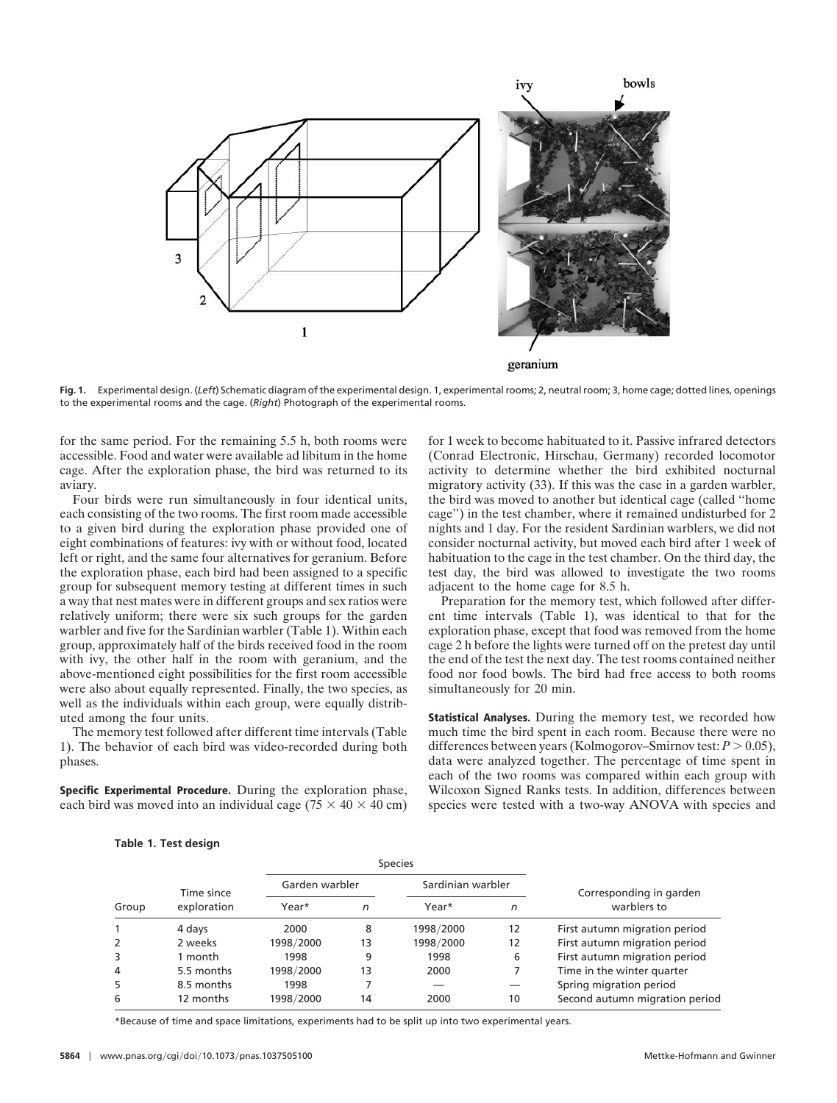

**Fig. 1.** Experimental design. (*Left*) Schematic diagram of the experimental design. 1, experimental rooms; 2, neutral room; 3, home cage; dotted lines, openings to the experimental rooms and the cage. (*Right*) Photograph of the experimental rooms.

for the same period. For the remaining 5.5 h, both rooms were accessible. Food and water were available ad libitum in the home cage. After the exploration phase, the bird was returned to its aviary.

Four birds were run simultaneously in four identical units, each consisting of the two rooms. The first room made accessible to a given bird during the exploration phase provided one of eight combinations of features: ivy with or without food, located left or right, and the same four alternatives for geranium. Before the exploration phase, each bird had been assigned to a specific group for subsequent memory testing at different times in such a way that nest mates were in different groups and sex ratios were relatively uniform; there were six such groups for the garden warbler and five for the Sardinian warbler (Table 1). Within each group, approximately half of the birds received food in the room with ivy, the other half in the room with geranium, and the above-mentioned eight possibilities for the first room accessible were also about equally represented. Finally, the two species, as well as the individuals within each group, were equally distributed among the four units.

The memory test followed after different time intervals (Table 1). The behavior of each bird was video-recorded during both phases.

**Specific Experimental Procedure.** During the exploration phase, each bird was moved into an individual cage ( $75 \times 40 \times 40$  cm) for 1 week to become habituated to it. Passive infrared detectors (Conrad Electronic, Hirschau, Germany) recorded locomotor activity to determine whether the bird exhibited nocturnal migratory activity (33). If this was the case in a garden warbler, the bird was moved to another but identical cage (called ''home cage'') in the test chamber, where it remained undisturbed for 2 nights and 1 day. For the resident Sardinian warblers, we did not consider nocturnal activity, but moved each bird after 1 week of habituation to the cage in the test chamber. On the third day, the test day, the bird was allowed to investigate the two rooms adjacent to the home cage for 8.5 h.

Preparation for the memory test, which followed after different time intervals (Table 1), was identical to that for the exploration phase, except that food was removed from the home cage 2 h before the lights were turned off on the pretest day until the end of the test the next day. The test rooms contained neither food nor food bowls. The bird had free access to both rooms simultaneously for 20 min.

**Statistical Analyses.** During the memory test, we recorded how much time the bird spent in each room. Because there were no differences between years (Kolmogorov–Smirnov test:  $P > 0.05$ ), data were analyzed together. The percentage of time spent in each of the two rooms was compared within each group with Wilcoxon Signed Ranks tests. In addition, differences between species were tested with a two-way ANOVA with species and

### **Table 1. Test design**

| Group | Time since<br>exploration | <b>Species</b> |    |                   |    |                                |
|-------|---------------------------|----------------|----|-------------------|----|--------------------------------|
|       |                           | Garden warbler |    | Sardinian warbler |    | Corresponding in garden        |
|       |                           | Year*          | n  | Year*             | n  | warblers to                    |
|       | 4 days                    | 2000           | 8  | 1998/2000         | 12 | First autumn migration period  |
|       | 2 weeks                   | 1998/2000      | 13 | 1998/2000         | 12 | First autumn migration period  |
| 3     | 1 month                   | 1998           | 9  | 1998              | 6  | First autumn migration period  |
| 4     | 5.5 months                | 1998/2000      | 13 | 2000              |    | Time in the winter quarter     |
| 5     | 8.5 months                | 1998           |    |                   |    | Spring migration period        |
| 6     | 12 months                 | 1998/2000      | 14 | 2000              | 10 | Second autumn migration period |

\*Because of time and space limitations, experiments had to be split up into two experimental years.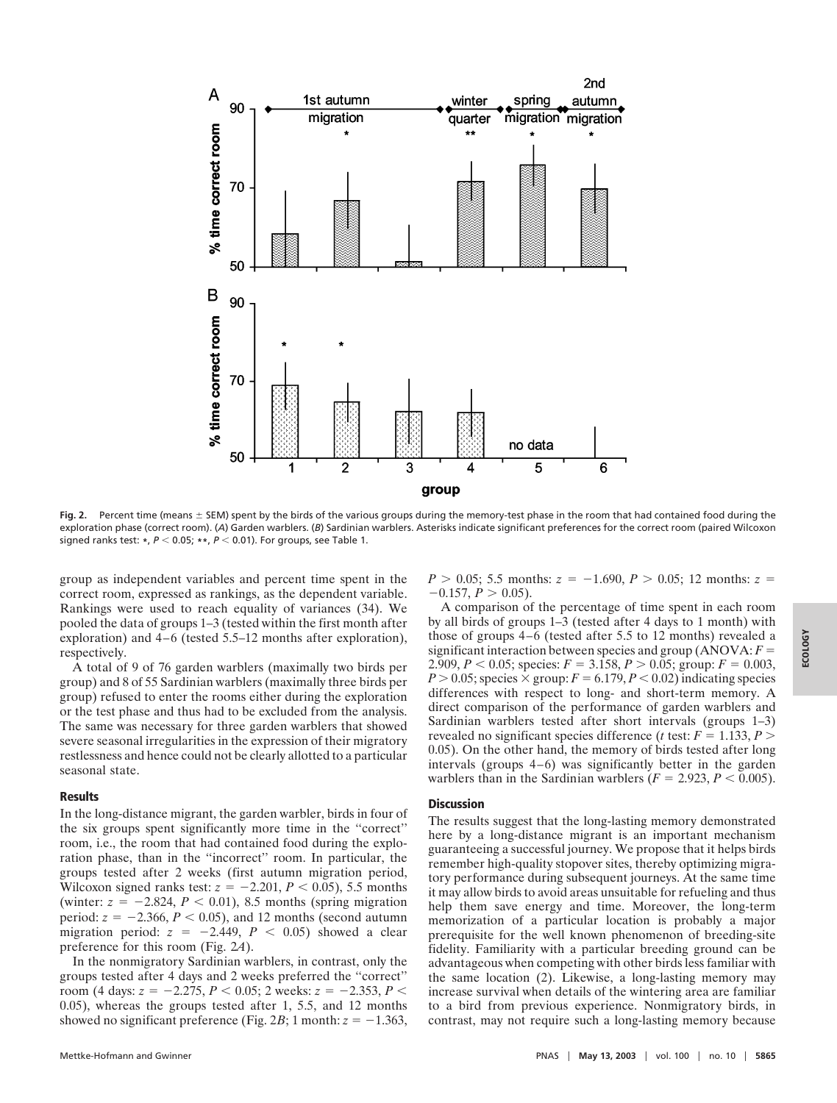

Fig. 2. Percent time (means  $\pm$  SEM) spent by the birds of the various groups during the memory-test phase in the room that had contained food during the exploration phase (correct room). (A) Garden warblers. (B) Sardinian warblers. Asterisks indicate significant preferences for the correct room (paired Wilcoxon signed ranks test: \*,  $P < 0.05$ ; \*\*,  $P < 0.01$ ). For groups, see Table 1.

group as independent variables and percent time spent in the correct room, expressed as rankings, as the dependent variable. Rankings were used to reach equality of variances (34). We pooled the data of groups 1–3 (tested within the first month after exploration) and 4–6 (tested 5.5–12 months after exploration), respectively.

A total of 9 of 76 garden warblers (maximally two birds per group) and 8 of 55 Sardinian warblers (maximally three birds per group) refused to enter the rooms either during the exploration or the test phase and thus had to be excluded from the analysis. The same was necessary for three garden warblers that showed severe seasonal irregularities in the expression of their migratory restlessness and hence could not be clearly allotted to a particular seasonal state.

#### **Results**

In the long-distance migrant, the garden warbler, birds in four of the six groups spent significantly more time in the ''correct'' room, i.e., the room that had contained food during the exploration phase, than in the ''incorrect'' room. In particular, the groups tested after 2 weeks (first autumn migration period, Wilcoxon signed ranks test:  $z = -2.201$ ,  $P < 0.05$ ), 5.5 months (winter:  $z = -2.824$ ,  $P < 0.01$ ), 8.5 months (spring migration period:  $z = -2.366$ ,  $P < 0.05$ ), and 12 months (second autumn migration period:  $z = -2.449$ ,  $P < 0.05$ ) showed a clear preference for this room (Fig. 2*A*).

In the nonmigratory Sardinian warblers, in contrast, only the groups tested after 4 days and 2 weeks preferred the ''correct'' room (4 days:  $z = -2.275$ ,  $P < 0.05$ ; 2 weeks:  $z = -2.353$ ,  $P <$ 0.05), whereas the groups tested after 1, 5.5, and 12 months showed no significant preference (Fig. 2*B*; 1 month:  $z = -1.363$ ,  $P > 0.05$ ; 5.5 months:  $z = -1.690$ ,  $P > 0.05$ ; 12 months:  $z =$  $-0.157, P > 0.05$ ).

A comparison of the percentage of time spent in each room by all birds of groups 1–3 (tested after 4 days to 1 month) with those of groups 4–6 (tested after 5.5 to 12 months) revealed a significant interaction between species and group  $(ANOVA: F =$ 2.909,  $P < 0.05$ ; species:  $F = 3.158$ ,  $P > 0.05$ ; group:  $F = 0.003$ ,  $P > 0.05$ ; species  $\times$  group:  $F = 6.179, P < 0.02$ ) indicating species differences with respect to long- and short-term memory. A direct comparison of the performance of garden warblers and Sardinian warblers tested after short intervals (groups 1–3) revealed no significant species difference (*t* test:  $F = 1.133, P$ ) 0.05). On the other hand, the memory of birds tested after long intervals (groups 4–6) was significantly better in the garden warblers than in the Sardinian warblers  $(F = 2.923, P < 0.005)$ .

### **Discussion**

The results suggest that the long-lasting memory demonstrated here by a long-distance migrant is an important mechanism guaranteeing a successful journey. We propose that it helps birds remember high-quality stopover sites, thereby optimizing migratory performance during subsequent journeys. At the same time it may allow birds to avoid areas unsuitable for refueling and thus help them save energy and time. Moreover, the long-term memorization of a particular location is probably a major prerequisite for the well known phenomenon of breeding-site fidelity. Familiarity with a particular breeding ground can be advantageous when competing with other birds less familiar with the same location (2). Likewise, a long-lasting memory may increase survival when details of the wintering area are familiar to a bird from previous experience. Nonmigratory birds, in contrast, may not require such a long-lasting memory because